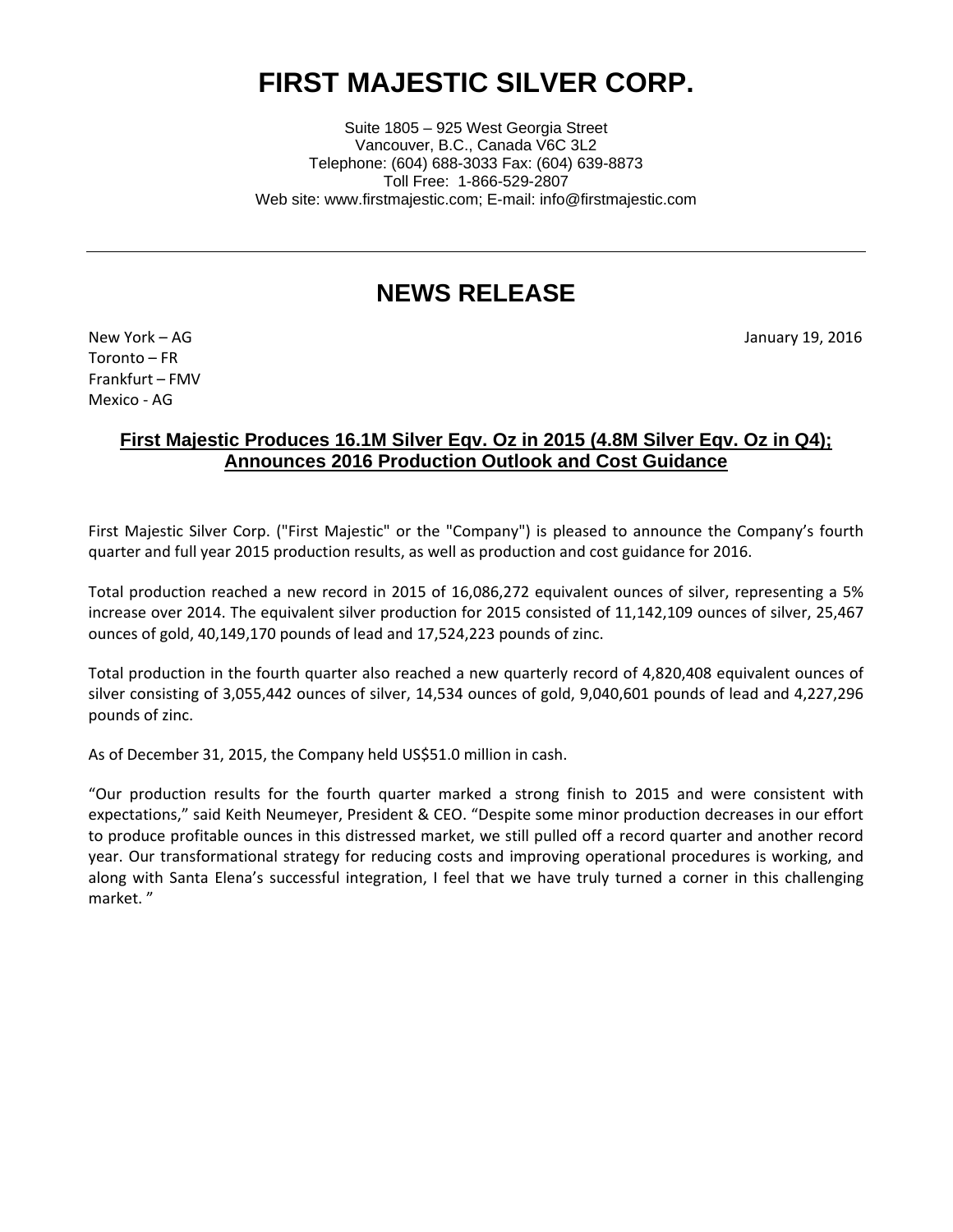# **FIRST MAJESTIC SILVER CORP.**

Suite 1805 – 925 West Georgia Street Vancouver, B.C., Canada V6C 3L2 Telephone: (604) 688-3033 Fax: (604) 639-8873 Toll Free: 1-866-529-2807 Web site: www.firstmajestic.com; E-mail: info@firstmajestic.com

# **NEWS RELEASE**

New York – AG January 19, 2016

Toronto – FR Frankfurt – FMV Mexico - AG

## **First Majestic Produces 16.1M Silver Eqv. Oz in 2015 (4.8M Silver Eqv. Oz in Q4); Announces 2016 Production Outlook and Cost Guidance**

First Majestic Silver Corp. ("First Majestic" or the "Company") is pleased to announce the Company's fourth quarter and full year 2015 production results, as well as production and cost guidance for 2016.

Total production reached a new record in 2015 of 16,086,272 equivalent ounces of silver, representing a 5% increase over 2014. The equivalent silver production for 2015 consisted of 11,142,109 ounces of silver, 25,467 ounces of gold, 40,149,170 pounds of lead and 17,524,223 pounds of zinc.

Total production in the fourth quarter also reached a new quarterly record of 4,820,408 equivalent ounces of silver consisting of 3,055,442 ounces of silver, 14,534 ounces of gold, 9,040,601 pounds of lead and 4,227,296 pounds of zinc.

As of December 31, 2015, the Company held US\$51.0 million in cash.

"Our production results for the fourth quarter marked a strong finish to 2015 and were consistent with expectations," said Keith Neumeyer, President & CEO. "Despite some minor production decreases in our effort to produce profitable ounces in this distressed market, we still pulled off a record quarter and another record year. Our transformational strategy for reducing costs and improving operational procedures is working, and along with Santa Elena's successful integration, I feel that we have truly turned a corner in this challenging market. "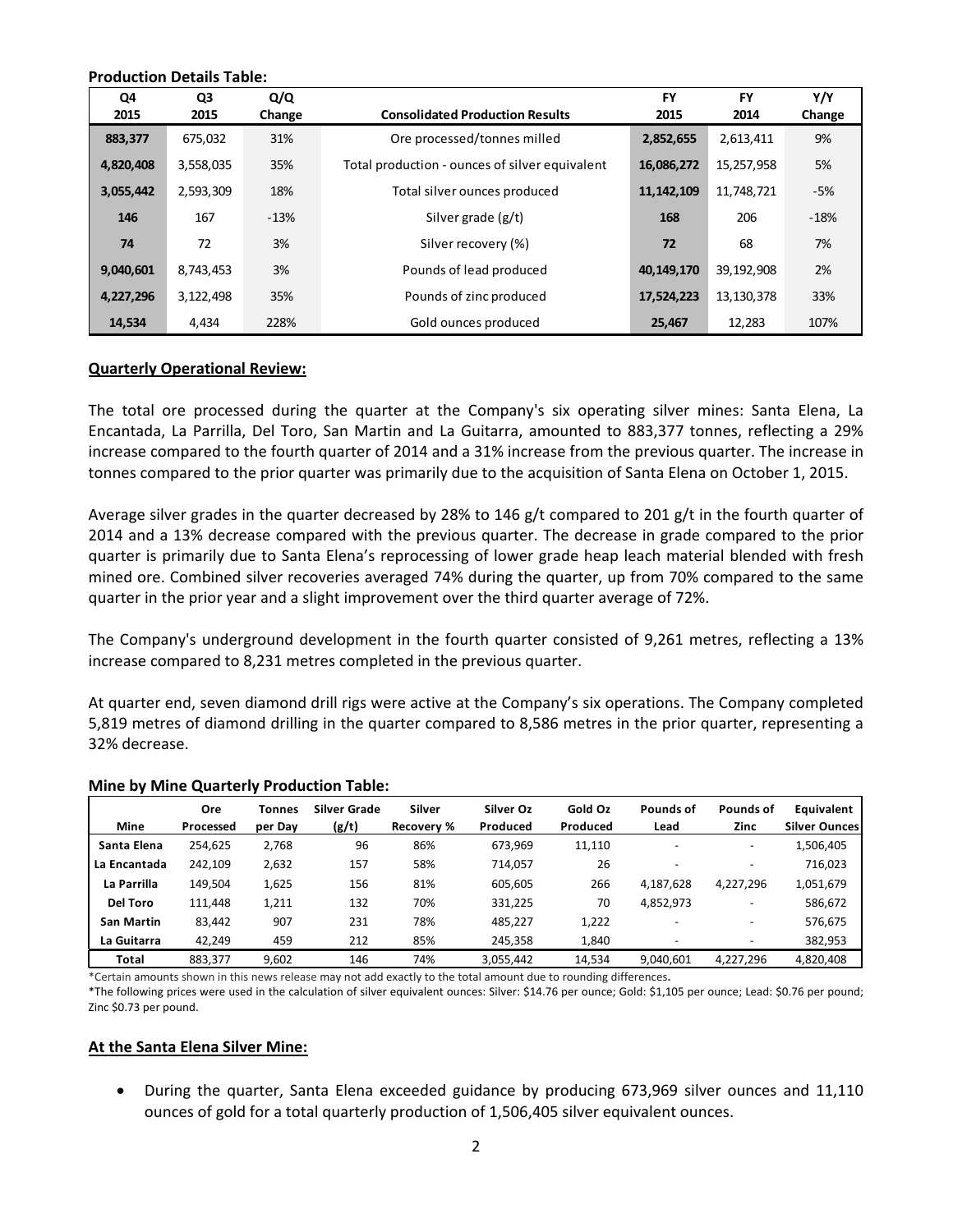| <b>Production Details Table:</b> |            |               |                                                |                   |                   |               |  |
|----------------------------------|------------|---------------|------------------------------------------------|-------------------|-------------------|---------------|--|
| Q4<br>2015                       | Q3<br>2015 | Q/Q<br>Change | <b>Consolidated Production Results</b>         | <b>FY</b><br>2015 | <b>FY</b><br>2014 | Y/Y<br>Change |  |
| 883,377                          | 675,032    | 31%           | Ore processed/tonnes milled                    | 2,852,655         | 2,613,411         | 9%            |  |
| 4,820,408                        | 3,558,035  | 35%           | Total production - ounces of silver equivalent | 16,086,272        | 15,257,958        | 5%            |  |
| 3,055,442                        | 2,593,309  | 18%           | Total silver ounces produced                   | 11, 142, 109      | 11,748,721        | $-5%$         |  |
| 146                              | 167        | $-13%$        | Silver grade $(g/t)$                           | 168               | 206               | $-18%$        |  |
| 74                               | 72         | 3%            | Silver recovery (%)                            | 72                | 68                | 7%            |  |
| 9,040,601                        | 8,743,453  | 3%            | Pounds of lead produced                        | 40,149,170        | 39,192,908        | 2%            |  |
| 4,227,296                        | 3,122,498  | 35%           | Pounds of zinc produced                        | 17,524,223        | 13,130,378        | 33%           |  |
| 14,534                           | 4,434      | 228%          | Gold ounces produced                           | 25,467            | 12,283            | 107%          |  |

#### **Quarterly Operational Review:**

The total ore processed during the quarter at the Company's six operating silver mines: Santa Elena, La Encantada, La Parrilla, Del Toro, San Martin and La Guitarra, amounted to 883,377 tonnes, reflecting a 29% increase compared to the fourth quarter of 2014 and a 31% increase from the previous quarter. The increase in tonnes compared to the prior quarter was primarily due to the acquisition of Santa Elena on October 1, 2015.

Average silver grades in the quarter decreased by 28% to 146 g/t compared to 201 g/t in the fourth quarter of 2014 and a 13% decrease compared with the previous quarter. The decrease in grade compared to the prior quarter is primarily due to Santa Elena's reprocessing of lower grade heap leach material blended with fresh mined ore. Combined silver recoveries averaged 74% during the quarter, up from 70% compared to the same quarter in the prior year and a slight improvement over the third quarter average of 72%.

The Company's underground development in the fourth quarter consisted of 9,261 metres, reflecting a 13% increase compared to 8,231 metres completed in the previous quarter.

At quarter end, seven diamond drill rigs were active at the Company's six operations. The Company completed 5,819 metres of diamond drilling in the quarter compared to 8,586 metres in the prior quarter, representing a 32% decrease.

|                   | Ore       | Tonnes  | Silver Grade | Silver     | Silver Oz | Gold Oz  | Pounds of                | Pounds of                | <b>Equivalent</b>    |
|-------------------|-----------|---------|--------------|------------|-----------|----------|--------------------------|--------------------------|----------------------|
| Mine              | Processed | per Day | (g/t)        | Recovery % | Produced  | Produced | Lead                     | Zinc                     | <b>Silver Ounces</b> |
| Santa Elena       | 254.625   | 2,768   | 96           | 86%        | 673.969   | 11,110   | $\overline{\phantom{0}}$ | $\overline{\phantom{a}}$ | 1,506,405            |
| La Encantada      | 242,109   | 2,632   | 157          | 58%        | 714.057   | 26       |                          |                          | 716,023              |
| La Parrilla       | 149.504   | 1,625   | 156          | 81%        | 605.605   | 266      | 4,187,628                | 4,227,296                | 1,051,679            |
| <b>Del Toro</b>   | 111.448   | 1,211   | 132          | 70%        | 331.225   | 70       | 4,852,973                |                          | 586,672              |
| <b>San Martin</b> | 83,442    | 907     | 231          | 78%        | 485.227   | 1,222    |                          | $\overline{\phantom{a}}$ | 576,675              |
| La Guitarra       | 42,249    | 459     | 212          | 85%        | 245,358   | 1,840    |                          |                          | 382,953              |
| <b>Total</b>      | 883,377   | 9.602   | 146          | 74%        | 3,055,442 | 14,534   | 9.040.601                | 4.227.296                | 4,820,408            |

#### **Mine by Mine Quarterly Production Table:**

\*Certain amounts shown in this news release may not add exactly to the total amount due to rounding differences**.**

\*The following prices were used in the calculation of silver equivalent ounces: Silver: \$14.76 per ounce; Gold: \$1,105 per ounce; Lead: \$0.76 per pound; Zinc \$0.73 per pound.

#### **At the Santa Elena Silver Mine:**

• During the quarter, Santa Elena exceeded guidance by producing 673,969 silver ounces and 11,110 ounces of gold for a total quarterly production of 1,506,405 silver equivalent ounces.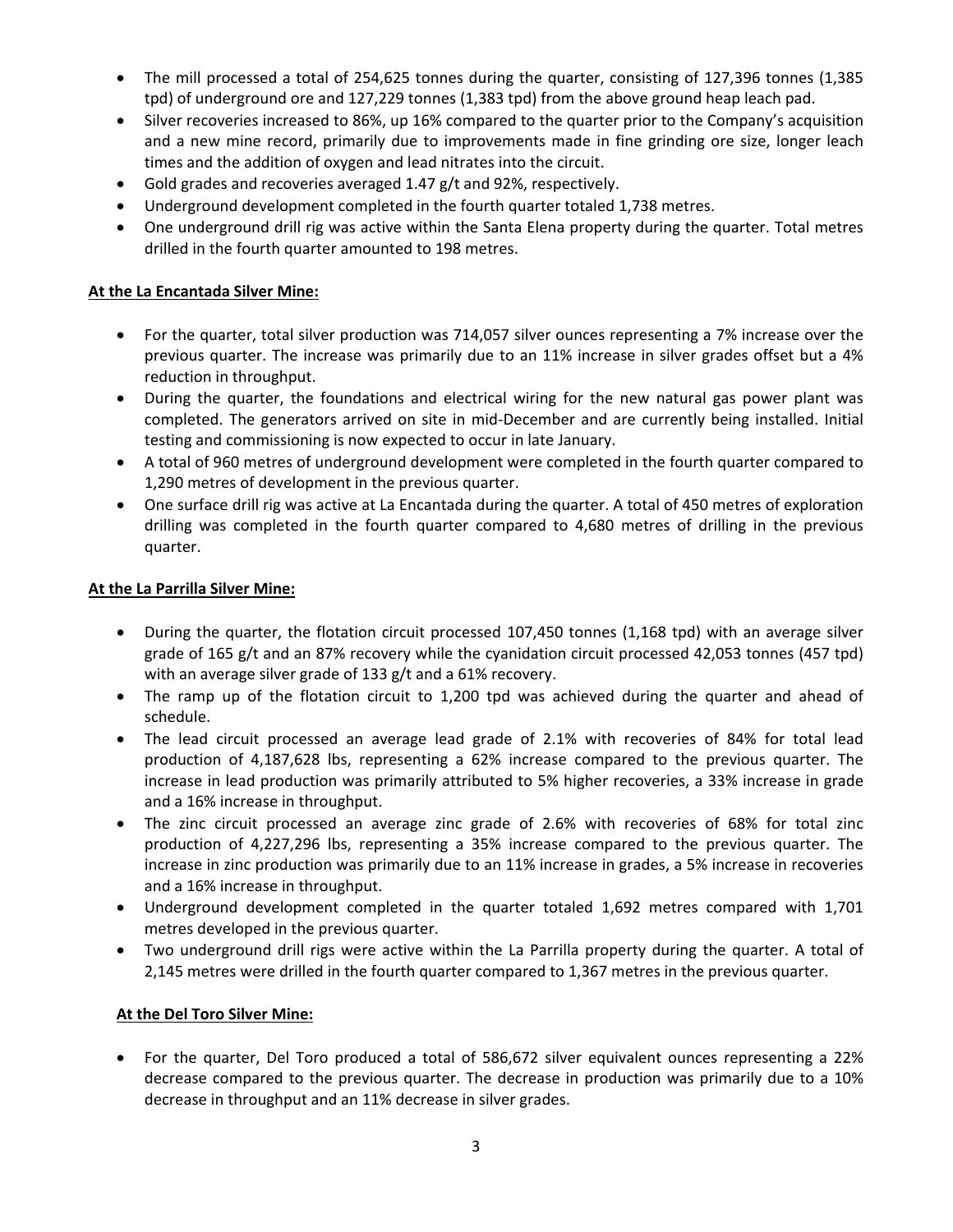- The mill processed a total of 254,625 tonnes during the quarter, consisting of 127,396 tonnes (1,385 tpd) of underground ore and 127,229 tonnes (1,383 tpd) from the above ground heap leach pad.
- Silver recoveries increased to 86%, up 16% compared to the quarter prior to the Company's acquisition and a new mine record, primarily due to improvements made in fine grinding ore size, longer leach times and the addition of oxygen and lead nitrates into the circuit.
- Gold grades and recoveries averaged 1.47 g/t and 92%, respectively.
- Underground development completed in the fourth quarter totaled 1,738 metres.
- One underground drill rig was active within the Santa Elena property during the quarter. Total metres drilled in the fourth quarter amounted to 198 metres.

### **At the La Encantada Silver Mine:**

- For the quarter, total silver production was 714,057 silver ounces representing a 7% increase over the previous quarter. The increase was primarily due to an 11% increase in silver grades offset but a 4% reduction in throughput.
- During the quarter, the foundations and electrical wiring for the new natural gas power plant was completed. The generators arrived on site in mid-December and are currently being installed. Initial testing and commissioning is now expected to occur in late January.
- A total of 960 metres of underground development were completed in the fourth quarter compared to 1,290 metres of development in the previous quarter.
- One surface drill rig was active at La Encantada during the quarter. A total of 450 metres of exploration drilling was completed in the fourth quarter compared to 4,680 metres of drilling in the previous quarter.

#### **At the La Parrilla Silver Mine:**

- During the quarter, the flotation circuit processed 107,450 tonnes (1,168 tpd) with an average silver grade of 165 g/t and an 87% recovery while the cyanidation circuit processed 42,053 tonnes (457 tpd) with an average silver grade of 133 g/t and a 61% recovery.
- The ramp up of the flotation circuit to 1,200 tpd was achieved during the quarter and ahead of schedule.
- The lead circuit processed an average lead grade of 2.1% with recoveries of 84% for total lead production of 4,187,628 lbs, representing a 62% increase compared to the previous quarter. The increase in lead production was primarily attributed to 5% higher recoveries, a 33% increase in grade and a 16% increase in throughput.
- The zinc circuit processed an average zinc grade of 2.6% with recoveries of 68% for total zinc production of 4,227,296 lbs, representing a 35% increase compared to the previous quarter. The increase in zinc production was primarily due to an 11% increase in grades, a 5% increase in recoveries and a 16% increase in throughput.
- Underground development completed in the quarter totaled 1,692 metres compared with 1,701 metres developed in the previous quarter.
- Two underground drill rigs were active within the La Parrilla property during the quarter. A total of 2,145 metres were drilled in the fourth quarter compared to 1,367 metres in the previous quarter.

#### **At the Del Toro Silver Mine:**

• For the quarter, Del Toro produced a total of 586,672 silver equivalent ounces representing a 22% decrease compared to the previous quarter. The decrease in production was primarily due to a 10% decrease in throughput and an 11% decrease in silver grades.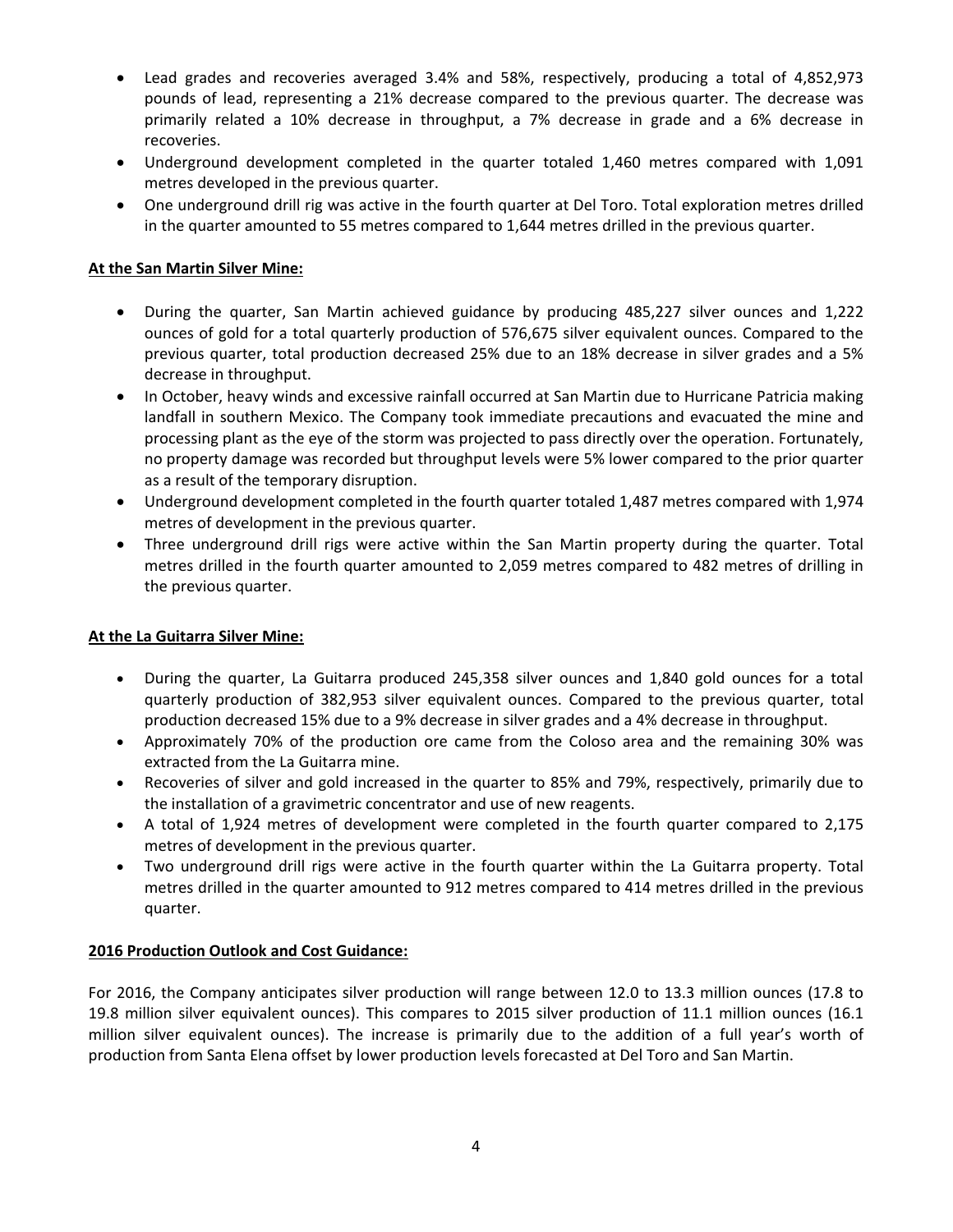- Lead grades and recoveries averaged 3.4% and 58%, respectively, producing a total of 4,852,973 pounds of lead, representing a 21% decrease compared to the previous quarter. The decrease was primarily related a 10% decrease in throughput, a 7% decrease in grade and a 6% decrease in recoveries.
- Underground development completed in the quarter totaled 1,460 metres compared with 1,091 metres developed in the previous quarter.
- One underground drill rig was active in the fourth quarter at Del Toro. Total exploration metres drilled in the quarter amounted to 55 metres compared to 1,644 metres drilled in the previous quarter.

#### **At the San Martin Silver Mine:**

- During the quarter, San Martin achieved guidance by producing 485,227 silver ounces and 1,222 ounces of gold for a total quarterly production of 576,675 silver equivalent ounces. Compared to the previous quarter, total production decreased 25% due to an 18% decrease in silver grades and a 5% decrease in throughput.
- In October, heavy winds and excessive rainfall occurred at San Martin due to Hurricane Patricia making landfall in southern Mexico. The Company took immediate precautions and evacuated the mine and processing plant as the eye of the storm was projected to pass directly over the operation. Fortunately, no property damage was recorded but throughput levels were 5% lower compared to the prior quarter as a result of the temporary disruption.
- Underground development completed in the fourth quarter totaled 1,487 metres compared with 1,974 metres of development in the previous quarter.
- Three underground drill rigs were active within the San Martin property during the quarter. Total metres drilled in the fourth quarter amounted to 2,059 metres compared to 482 metres of drilling in the previous quarter.

#### **At the La Guitarra Silver Mine:**

- During the quarter, La Guitarra produced 245,358 silver ounces and 1,840 gold ounces for a total quarterly production of 382,953 silver equivalent ounces. Compared to the previous quarter, total production decreased 15% due to a 9% decrease in silver grades and a 4% decrease in throughput.
- Approximately 70% of the production ore came from the Coloso area and the remaining 30% was extracted from the La Guitarra mine.
- Recoveries of silver and gold increased in the quarter to 85% and 79%, respectively, primarily due to the installation of a gravimetric concentrator and use of new reagents.
- A total of 1,924 metres of development were completed in the fourth quarter compared to 2,175 metres of development in the previous quarter.
- Two underground drill rigs were active in the fourth quarter within the La Guitarra property. Total metres drilled in the quarter amounted to 912 metres compared to 414 metres drilled in the previous quarter.

#### **2016 Production Outlook and Cost Guidance:**

For 2016, the Company anticipates silver production will range between 12.0 to 13.3 million ounces (17.8 to 19.8 million silver equivalent ounces). This compares to 2015 silver production of 11.1 million ounces (16.1 million silver equivalent ounces). The increase is primarily due to the addition of a full year's worth of production from Santa Elena offset by lower production levels forecasted at Del Toro and San Martin.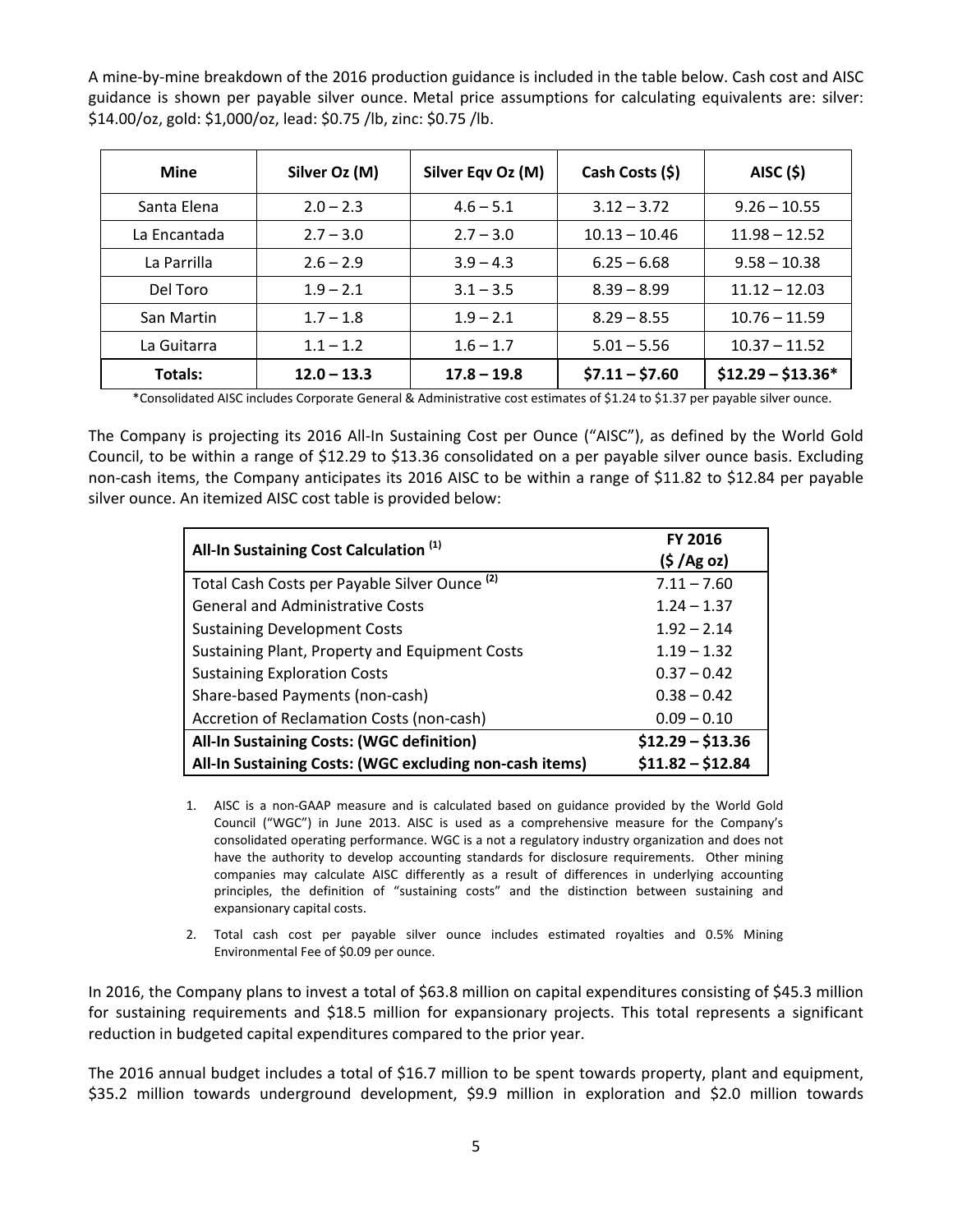A mine-by-mine breakdown of the 2016 production guidance is included in the table below. Cash cost and AISC guidance is shown per payable silver ounce. Metal price assumptions for calculating equivalents are: silver: \$14.00/oz, gold: \$1,000/oz, lead: \$0.75 /lb, zinc: \$0.75 /lb.

| <b>Mine</b>  | Silver Oz (M) | Silver Eqv Oz (M) | Cash Costs (\$) | AISC (5)           |
|--------------|---------------|-------------------|-----------------|--------------------|
| Santa Elena  | $2.0 - 2.3$   | $4.6 - 5.1$       | $3.12 - 3.72$   | $9.26 - 10.55$     |
| La Encantada | $2.7 - 3.0$   | $2.7 - 3.0$       | $10.13 - 10.46$ | $11.98 - 12.52$    |
| La Parrilla  | $2.6 - 2.9$   | $3.9 - 4.3$       | $6.25 - 6.68$   | $9.58 - 10.38$     |
| Del Toro     | $1.9 - 2.1$   | $3.1 - 3.5$       | $8.39 - 8.99$   | $11.12 - 12.03$    |
| San Martin   | $1.7 - 1.8$   | $1.9 - 2.1$       | $8.29 - 8.55$   | $10.76 - 11.59$    |
| La Guitarra  | $1.1 - 1.2$   | $1.6 - 1.7$       | $5.01 - 5.56$   | $10.37 - 11.52$    |
| Totals:      | $12.0 - 13.3$ | $17.8 - 19.8$     | $$7.11 - $7.60$ | $$12.29 - $13.36*$ |

\*Consolidated AISC includes Corporate General & Administrative cost estimates of \$1.24 to \$1.37 per payable silver ounce.

The Company is projecting its 2016 All-In Sustaining Cost per Ounce ("AISC"), as defined by the World Gold Council, to be within a range of \$12.29 to \$13.36 consolidated on a per payable silver ounce basis. Excluding non-cash items, the Company anticipates its 2016 AISC to be within a range of \$11.82 to \$12.84 per payable silver ounce. An itemized AISC cost table is provided below:

| All-In Sustaining Cost Calculation <sup>(1)</sup>        | FY 2016<br>(5 / Ag oz) |  |  |
|----------------------------------------------------------|------------------------|--|--|
| Total Cash Costs per Payable Silver Ounce <sup>(2)</sup> | $7.11 - 7.60$          |  |  |
| <b>General and Administrative Costs</b>                  | $1.24 - 1.37$          |  |  |
| <b>Sustaining Development Costs</b>                      | $1.92 - 2.14$          |  |  |
| Sustaining Plant, Property and Equipment Costs           | $1.19 - 1.32$          |  |  |
| <b>Sustaining Exploration Costs</b>                      | $0.37 - 0.42$          |  |  |
| Share-based Payments (non-cash)                          | $0.38 - 0.42$          |  |  |
| Accretion of Reclamation Costs (non-cash)                | $0.09 - 0.10$          |  |  |
| All-In Sustaining Costs: (WGC definition)                | $$12.29 - $13.36$      |  |  |
| All-In Sustaining Costs: (WGC excluding non-cash items)  | $$11.82 - $12.84$      |  |  |

- 1. AISC is a non-GAAP measure and is calculated based on guidance provided by the World Gold Council ("WGC") in June 2013. AISC is used as a comprehensive measure for the Company's consolidated operating performance. WGC is a not a regulatory industry organization and does not have the authority to develop accounting standards for disclosure requirements. Other mining companies may calculate AISC differently as a result of differences in underlying accounting principles, the definition of "sustaining costs" and the distinction between sustaining and expansionary capital costs.
- 2. Total cash cost per payable silver ounce includes estimated royalties and 0.5% Mining Environmental Fee of \$0.09 per ounce.

In 2016, the Company plans to invest a total of \$63.8 million on capital expenditures consisting of \$45.3 million for sustaining requirements and \$18.5 million for expansionary projects. This total represents a significant reduction in budgeted capital expenditures compared to the prior year.

The 2016 annual budget includes a total of \$16.7 million to be spent towards property, plant and equipment, \$35.2 million towards underground development, \$9.9 million in exploration and \$2.0 million towards